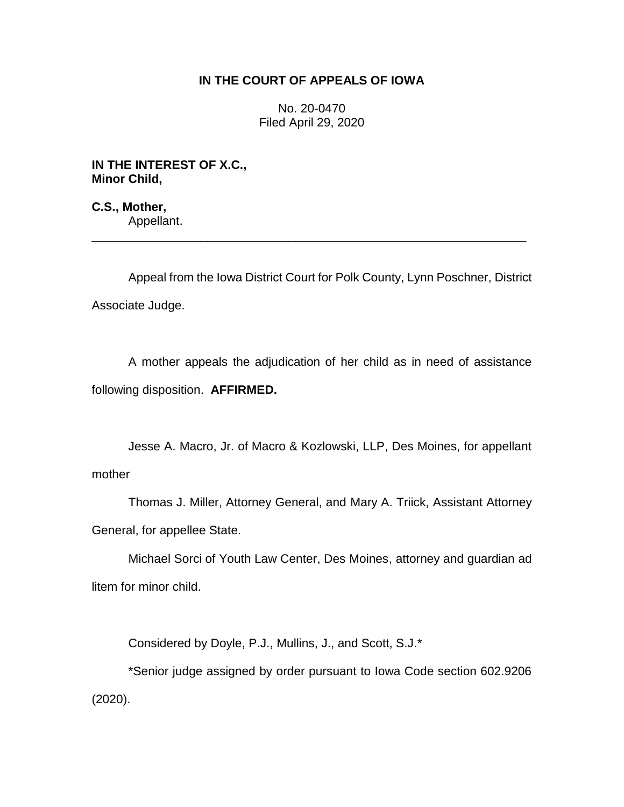## **IN THE COURT OF APPEALS OF IOWA**

No. 20-0470 Filed April 29, 2020

**IN THE INTEREST OF X.C., Minor Child,**

**C.S., Mother,** Appellant.

Appeal from the Iowa District Court for Polk County, Lynn Poschner, District Associate Judge.

\_\_\_\_\_\_\_\_\_\_\_\_\_\_\_\_\_\_\_\_\_\_\_\_\_\_\_\_\_\_\_\_\_\_\_\_\_\_\_\_\_\_\_\_\_\_\_\_\_\_\_\_\_\_\_\_\_\_\_\_\_\_\_\_

A mother appeals the adjudication of her child as in need of assistance following disposition. **AFFIRMED.** 

Jesse A. Macro, Jr. of Macro & Kozlowski, LLP, Des Moines, for appellant mother

Thomas J. Miller, Attorney General, and Mary A. Triick, Assistant Attorney General, for appellee State.

Michael Sorci of Youth Law Center, Des Moines, attorney and guardian ad litem for minor child.

Considered by Doyle, P.J., Mullins, J., and Scott, S.J.\*

\*Senior judge assigned by order pursuant to Iowa Code section 602.9206 (2020).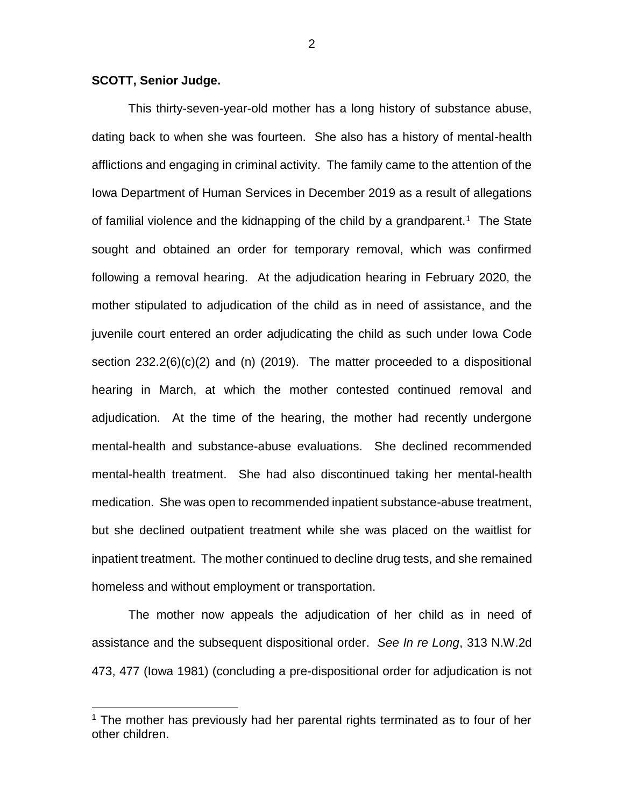## **SCOTT, Senior Judge.**

 $\overline{a}$ 

This thirty-seven-year-old mother has a long history of substance abuse, dating back to when she was fourteen. She also has a history of mental-health afflictions and engaging in criminal activity. The family came to the attention of the Iowa Department of Human Services in December 2019 as a result of allegations of familial violence and the kidnapping of the child by a grandparent.<sup>1</sup> The State sought and obtained an order for temporary removal, which was confirmed following a removal hearing. At the adjudication hearing in February 2020, the mother stipulated to adjudication of the child as in need of assistance, and the juvenile court entered an order adjudicating the child as such under Iowa Code section 232.2(6)(c)(2) and (n) (2019). The matter proceeded to a dispositional hearing in March, at which the mother contested continued removal and adjudication. At the time of the hearing, the mother had recently undergone mental-health and substance-abuse evaluations. She declined recommended mental-health treatment. She had also discontinued taking her mental-health medication. She was open to recommended inpatient substance-abuse treatment, but she declined outpatient treatment while she was placed on the waitlist for inpatient treatment. The mother continued to decline drug tests, and she remained homeless and without employment or transportation.

The mother now appeals the adjudication of her child as in need of assistance and the subsequent dispositional order. *See In re Long*, 313 N.W.2d 473, 477 (Iowa 1981) (concluding a pre-dispositional order for adjudication is not

 $1$  The mother has previously had her parental rights terminated as to four of her other children.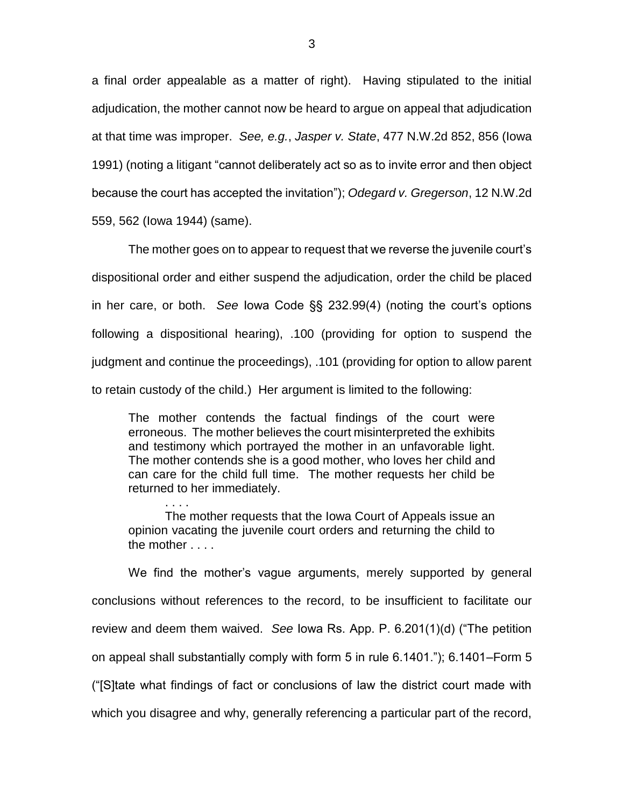a final order appealable as a matter of right). Having stipulated to the initial adjudication, the mother cannot now be heard to argue on appeal that adjudication at that time was improper. *See, e.g.*, *Jasper v. State*, 477 N.W.2d 852, 856 (Iowa 1991) (noting a litigant "cannot deliberately act so as to invite error and then object because the court has accepted the invitation"); *Odegard v. Gregerson*, 12 N.W.2d 559, 562 (Iowa 1944) (same).

The mother goes on to appear to request that we reverse the juvenile court's dispositional order and either suspend the adjudication, order the child be placed in her care, or both. *See* Iowa Code §§ 232.99(4) (noting the court's options following a dispositional hearing), .100 (providing for option to suspend the judgment and continue the proceedings), .101 (providing for option to allow parent to retain custody of the child.) Her argument is limited to the following:

The mother contends the factual findings of the court were erroneous. The mother believes the court misinterpreted the exhibits and testimony which portrayed the mother in an unfavorable light. The mother contends she is a good mother, who loves her child and can care for the child full time. The mother requests her child be returned to her immediately.

. . . . The mother requests that the Iowa Court of Appeals issue an opinion vacating the juvenile court orders and returning the child to the mother . . . .

We find the mother's vague arguments, merely supported by general conclusions without references to the record, to be insufficient to facilitate our review and deem them waived. *See* Iowa Rs. App. P. 6.201(1)(d) ("The petition on appeal shall substantially comply with form 5 in rule 6.1401."); 6.1401–Form 5 ("[S]tate what findings of fact or conclusions of law the district court made with which you disagree and why, generally referencing a particular part of the record,